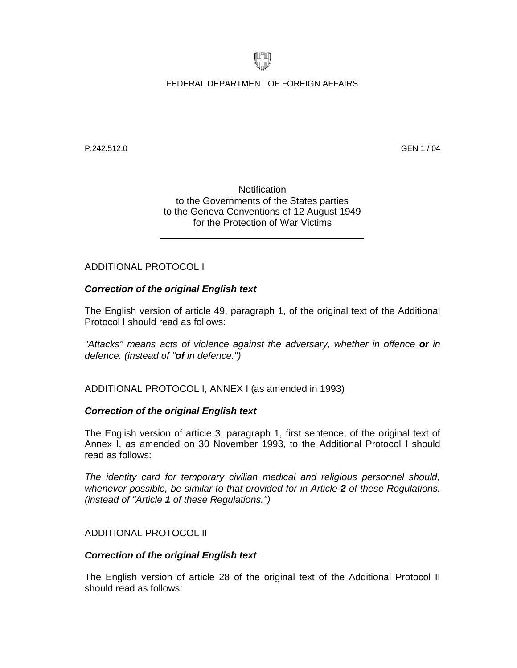

FEDERAL DEPARTMENT OF FOREIGN AFFAIRS

P.242.512.0 GEN 1 / 04

**Notification** to the Governments of the States parties to the Geneva Conventions of 12 August 1949 for the Protection of War Victims

\_\_\_\_\_\_\_\_\_\_\_\_\_\_\_\_\_\_\_\_\_\_\_\_\_\_\_\_\_\_\_\_\_\_\_\_\_\_

# ADDITIONAL PROTOCOL I

# *Correction of the original English text*

The English version of article 49, paragraph 1, of the original text of the Additional Protocol I should read as follows:

*"Attacks" means acts of violence against the adversary, whether in offence or in defence. (instead of "of in defence.")*

ADDITIONAL PROTOCOL I, ANNEX I (as amended in 1993)

## *Correction of the original English text*

The English version of article 3, paragraph 1, first sentence, of the original text of Annex I, as amended on 30 November 1993, to the Additional Protocol I should read as follows:

*The identity card for temporary civilian medical and religious personnel should, whenever possible, be similar to that provided for in Article 2 of these Regulations. (instead of "Article 1 of these Regulations.")*

## ADDITIONAL PROTOCOL II

### *Correction of the original English text*

The English version of article 28 of the original text of the Additional Protocol II should read as follows: